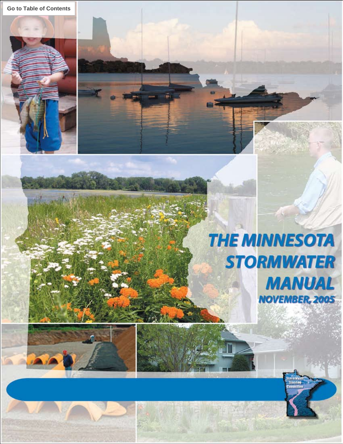# **THE MINNESOTA STORMWATER MANUAL NOVEMBER, 2005**



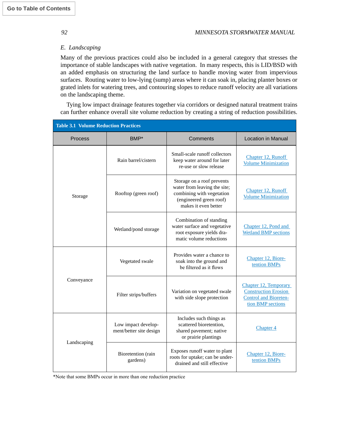#### *E. Landscaping*

Many of the previous practices could also be included in a general category that stresses the importance of stable landscapes with native vegetation. In many respects, this is LID/BSD with an added emphasis on structuring the land surface to handle moving water from impervious surfaces. Routing water to low-lying (sump) areas where it can soak in, placing planter boxes or grated inlets for watering trees, and contouring slopes to reduce runoff velocity are all variations on the landscaping theme.

Tying low impact drainage features together via corridors or designed natural treatment trains can further enhance overall site volume reduction by creating a string of reduction possibilities.

| <b>Table 3.1 Volume Reduction Practices</b> |                                                |                                                                                                                                            |                                                                                                           |  |
|---------------------------------------------|------------------------------------------------|--------------------------------------------------------------------------------------------------------------------------------------------|-----------------------------------------------------------------------------------------------------------|--|
| <b>Process</b>                              | BMP*                                           | Comments                                                                                                                                   | <b>Location in Manual</b>                                                                                 |  |
| Storage                                     | Rain barrel/cistern                            | Small-scale runoff collectors<br>keep water around for later<br>re-use or slow release                                                     | Chapter 12, Runoff<br><b>Volume Minimization</b>                                                          |  |
|                                             | Rooftop (green roof)                           | Storage on a roof prevents<br>water from leaving the site;<br>combining with vegetation<br>(engineered green roof)<br>makes it even better | Chapter 12, Runoff<br><b>Volume Minimization</b>                                                          |  |
|                                             | Wetland/pond storage                           | Combination of standing<br>water surface and vegetative<br>root exposure yields dra-<br>matic volume reductions                            | Chapter 12, Pond and<br><b>Wetland BMP</b> sections                                                       |  |
| Conveyance                                  | Vegetated swale                                | Provides water a chance to<br>soak into the ground and<br>be filtered as it flows                                                          | Chapter 12, Biore-<br>tention BMPs                                                                        |  |
|                                             | Filter strips/buffers                          | Variation on vegetated swale<br>with side slope protection                                                                                 | Chapter 12, Temporary<br><b>Construction Erosion</b><br><b>Control and Bioreten-</b><br>tion BMP sections |  |
| Landscaping                                 | Low impact develop-<br>ment/better site design | Includes such things as<br>scattered bioretention,<br>shared pavement; native<br>or prairie plantings                                      | Chapter 4                                                                                                 |  |
|                                             | Bioretention (rain<br>gardens)                 | Exposes runoff water to plant<br>roots for uptake; can be under-<br>drained and still effective                                            | Chapter 12, Biore-<br>tention BMPs                                                                        |  |

\*Note that some BMPs occur in more than one reduction practice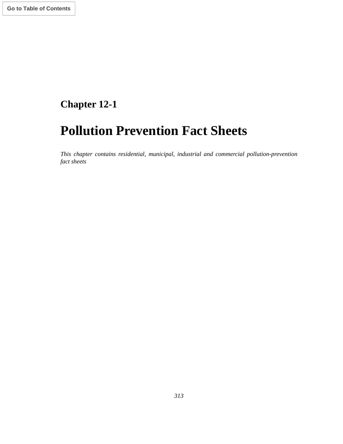## **Chapter 12-1**

## **Pollution Prevention Fact Sheets**

*This chapter contains residential, municipal, industrial and commercial pollution-prevention fact sheets*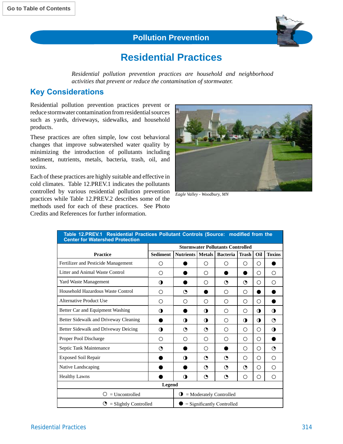#### **Pollution Prevention**



### **Residential Practices**

*Residential pollution prevention practices are household and neighborhood activities that prevent or reduce the contamination of stormwater.*

#### **Key Considerations**

Residential pollution prevention practices prevent or reduce stormwater contamination from residential sources such as yards, driveways, sidewalks, and household products.

These practices are often simple, low cost behavioral changes that improve subwatershed water quality by minimizing the introduction of pollutants including sediment, nutrients, metals, bacteria, trash, oil, and toxins.

Each of these practices are highly suitable and effective in cold climates. Table 12.PREV.1 indicates the pollutants controlled by various residential pollution prevention practices while Table 12.PREV.2 describes some of the methods used for each of these practices. See Photo Credits and References for further information.



*Eagle Valley - Woodbury, MN*

| Table 12.PREV.1 Residential Practices Pollutant Controls (Source: modified from the<br><b>Center for Watershed Protection</b> |                                         |                  |               |                 |                  |                  |               |
|-------------------------------------------------------------------------------------------------------------------------------|-----------------------------------------|------------------|---------------|-----------------|------------------|------------------|---------------|
|                                                                                                                               | <b>Stormwater Pollutants Controlled</b> |                  |               |                 |                  |                  |               |
| <b>Practice</b>                                                                                                               | <b>Sediment</b>                         | <b>Nutrients</b> | <b>Metals</b> | <b>Bacteria</b> | <b>Trash</b>     | Oil              | <b>Toxins</b> |
| Fertilizer and Pesticide Management                                                                                           | Ω                                       |                  | Ω             | Ω               | O                | О                |               |
| Litter and Animal Waste Control                                                                                               | Ω                                       |                  | Ω             |                 | D                | О                | Ω             |
| Yard Waste Management                                                                                                         | O                                       |                  | Ω             | O               | $\odot$          | О                | Ω             |
| Household Hazardous Waste Control                                                                                             | ∩                                       | $\odot$          |               | ∩               | $\bigcirc$       | ●                |               |
| Alternative Product Use                                                                                                       | ∩                                       | ∩                | Ω             | ∩               | O                | O                |               |
| Better Car and Equipment Washing                                                                                              | 0                                       |                  | 0             | ∩               | Ω                | 0                | $\bullet$     |
| Better Sidewalk and Driveway Cleaning                                                                                         |                                         | $\bullet$        | $\bullet$     | ∩               | $\mathbf \Omega$ | $\mathbf \Omega$ | ᠿ             |
| Better Sidewalk and Driveway Deicing                                                                                          | 0                                       | $\odot$          | ≵             | ∩               | O                | Ω                | $\bullet$     |
| Proper Pool Discharge                                                                                                         | Ω                                       | Ω                | Ω             | ∩               | O                | Ω                | o             |
| Septic Tank Maintenance                                                                                                       | ≵                                       |                  | Ω             |                 | O                | Ω                | $\odot$       |
| <b>Exposed Soil Repair</b>                                                                                                    |                                         | 0                | ≵             | ◑               | O                | Ο                | Ω             |
| Native Landscaping                                                                                                            |                                         |                  | ≵             | O               | $\odot$          | О                | Ω             |
| <b>Healthy Lawns</b>                                                                                                          |                                         | $\Omega$         | ≵             | O               | O                | Ω                | Ω             |
| <b>Legend</b>                                                                                                                 |                                         |                  |               |                 |                  |                  |               |
| $=$ Uncontrolled<br>$\mathbf{\Theta}$ = Moderately Controlled<br>Ω                                                            |                                         |                  |               |                 |                  |                  |               |
| $\Theta$ = Slightly Controlled<br>$=$ Significantly Controlled                                                                |                                         |                  |               |                 |                  |                  |               |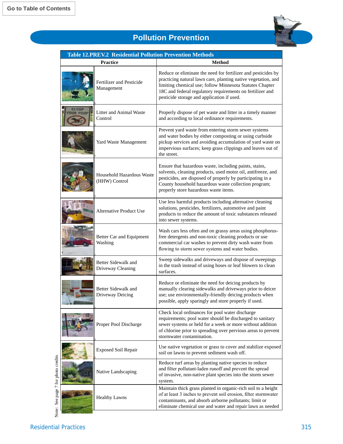

### **Pollution Prevention**

|                                 | <b>Practice</b>                            | <b>Method</b>                                                                                                                                                                                                                                                                                         |
|---------------------------------|--------------------------------------------|-------------------------------------------------------------------------------------------------------------------------------------------------------------------------------------------------------------------------------------------------------------------------------------------------------|
|                                 | Fertilizer and Pesticide<br>Management     | Reduce or eliminate the need for fertilizer and pesticides by<br>practicing natural lawn care, planting native vegetation, and<br>limiting chemical use; follow Minnesota Statutes Chapter<br>18C and federal regulatory requirements on fertilizer and<br>pesticide storage and application if used. |
| <b>SCOOP</b><br><b>OUR POOP</b> | Litter and Animal Waste<br>Control         | Properly dispose of pet waste and litter in a timely manner<br>and according to local ordinance requirements.                                                                                                                                                                                         |
|                                 | Yard Waste Management                      | Prevent yard waste from entering storm sewer systems<br>and water bodies by either composting or using curbside<br>pickup services and avoiding accumulation of yard waste on<br>impervious surfaces; keep grass clippings and leaves out of<br>the street.                                           |
|                                 | Household Hazardous Waste<br>(HHW) Control | Ensure that hazardous waste, including paints, stains,<br>solvents, cleaning products, used motor oil, antifreeze, and<br>pesticides, are disposed of properly by participating in a<br>County household hazardous waste collection program;<br>properly store hazardous waste items.                 |
|                                 | <b>Alternative Product Use</b>             | Use less harmful products including alternative cleaning<br>solutions, pesticides, fertilizers, automotive and paint<br>products to reduce the amount of toxic substances released<br>into sewer systems.                                                                                             |
|                                 | Better Car and Equipment<br>Washing        | Wash cars less often and on grassy areas using phosphorus-<br>free detergents and non-toxic cleaning products or use<br>commercial car washes to prevent dirty wash water from<br>flowing to storm sewer systems and water bodies.                                                                    |
|                                 | Better Sidewalk and<br>Driveway Cleaning   | Sweep sidewalks and driveways and dispose of sweepings<br>in the trash instead of using hoses or leaf blowers to clean<br>surfaces.                                                                                                                                                                   |
|                                 | Better Sidewalk and<br>Driveway Deicing    | Reduce or eliminate the need for deicing products by<br>manually clearing sidewalks and driveways prior to deicer<br>use; use environmentally-friendly deicing products when<br>possible, apply sparingly and store properly if used.                                                                 |
|                                 | Proper Pool Discharge                      | Check local ordinances for pool water discharge<br>requirements; pool water should be discharged to sanitary<br>sewer systems or held for a week or more without addition<br>of chlorine prior to spreading over pervious areas to prevent<br>stormwater contamination.                               |
|                                 | <b>Exposed Soil Repair</b>                 | Use native vegetation or grass to cover and stabilize exposed<br>soil on lawns to prevent sediment wash off.                                                                                                                                                                                          |
|                                 | Native Landscaping                         | Reduce turf areas by planting native species to reduce<br>and filter pollutant-laden runoff and prevent the spread<br>of invasive, non-native plant species into the storm sewer<br>system.                                                                                                           |
|                                 | <b>Healthy Lawns</b>                       | Maintain thick grass planted in organic-rich soil to a height<br>of at least 3 inches to prevent soil erosion, filter stormwater<br>contaminants, and absorb airborne pollutants; limit or<br>eliminate chemical use and water and repair lawn as needed                                              |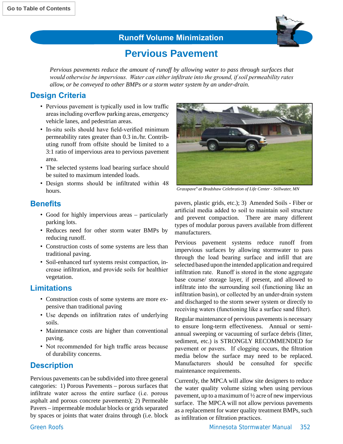

### **Runoff Volume Minimization**

### **Pervious Pavement**

*Pervious pavements reduce the amount of runoff by allowing water to pass through surfaces that would otherwise be impervious. Water can either infiltrate into the ground, if soil permeability rates allow, or be conveyed to other BMPs or a storm water system by an under-drain.* 

#### **Design Criteria**

- Pervious pavement is typically used in low traffic areasincluding overflow parking areas, emergency vehicle lanes, and pedestrian areas.
- In-situ soils should have field-verified minimum permeability rates greater than 0.3 in./hr. Contributing runoff from offsite should be limited to a 3:1 ratio of impervious area to pervious pavement area.
- The selected systems load bearing surface should be suited to maximum intended loads.
- Design storms should be infiltrated within 48 hours. *Grasspave® at Bradshaw Celebration of Life Center - Stillwater, MN*

#### **Benefits**

- Good for highly impervious areas particularly parking lots.
- Reduces need for other storm water BMPs by reducing runoff.
- Construction costs of some systems are less than traditional paving.
- Soil-enhanced turf systems resist compaction, increase infiltration, and provide soils for healthier vegetation.

#### **Limitations**

- Construction costs of some systems are more expensive than traditional paving
- Use depends on infiltration rates of underlying soils.
- Maintenance costs are higher than conventional paving.
- Not recommended for high traffic areas because of durability concerns.

#### **Description**

Pervious pavements can be subdivided into three general categories: 1) Porous Pavements – porous surfaces that infiltrate water across the entire surface (i.e. porous asphalt and porous concrete pavements); 2) Permeable Pavers – impermeable modular blocks or grids separated by spaces or joints that water drains through (i.e. block



pavers, plastic grids, etc.); 3) Amended Soils - Fiber or artificial media added to soil to maintain soil structure and prevent compaction. There are many different types of modular porous pavers available from different manufacturers.

Pervious pavement systems reduce runoff from impervious surfaces by allowing stormwater to pass through the load bearing surface and infill that are selected based upon the intended application and required infiltration rate. Runoff is stored in the stone aggregate base course/ storage layer, if present, and allowed to infiltrate into the surrounding soil (functioning like an infiltration basin), or collected by an under-drain system and discharged to the storm sewer system or directly to receiving waters (functioning like a surface sand filter).

Regular maintenance of pervious pavements is necessary to ensure long-term effectiveness. Annual or semiannual sweeping or vacuuming of surface debris (litter, sediment, etc.) is STRONGLY RECOMMENDED for pavement or pavers. If clogging occurs, the filtration media below the surface may need to be replaced. Manufacturers should be consulted for specific maintenance requirements.

Currently, the MPCA will allow site designers to reduce the water quality volume sizing when using pervious pavement, up to a maximum of ½ acre of new impervious surface. The MPCA will not allow pervious pavements as a replacement for water quality treatment BMPs, such as infiltration or filtration practices.